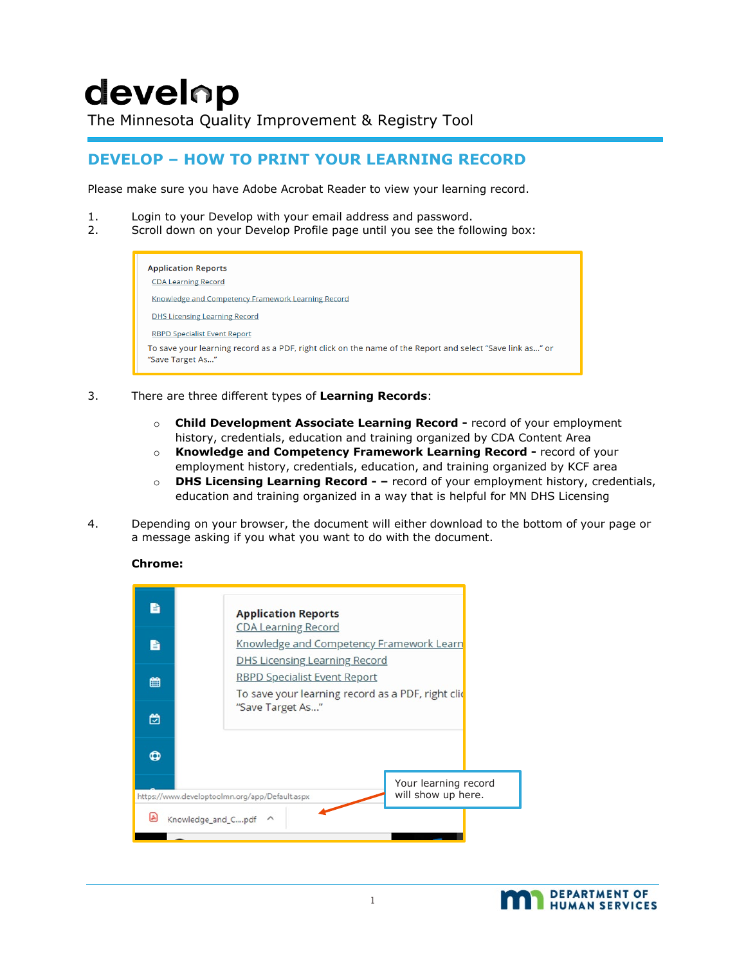# develop

The Minnesota Quality Improvement & Registry Tool

## **DEVELOP – HOW TO PRINT YOUR LEARNING RECORD**

Please make sure you have Adobe Acrobat Reader to view your learning record.

- 1. Login to your Develop with your email address and password.
- 2. Scroll down on your Develop Profile page until you see the following box:

| <b>Application Reports</b><br><b>CDA Learning Record</b>                                                                      |
|-------------------------------------------------------------------------------------------------------------------------------|
| Knowledge and Competency Framework Learning Record                                                                            |
| <b>DHS Licensing Learning Record</b>                                                                                          |
| <b>RBPD Specialist Event Report</b>                                                                                           |
| To save your learning record as a PDF, right click on the name of the Report and select "Save link as" or<br>"Save Target As" |

- 3. There are three different types of **Learning Records**:
	- o **Child Development Associate Learning Record -** record of your employment history, credentials, education and training organized by CDA Content Area
	- o **Knowledge and Competency Framework Learning Record -** record of your employment history, credentials, education, and training organized by KCF area
	- o **DHS Licensing Learning Record - –** record of your employment history, credentials, education and training organized in a way that is helpful for MN DHS Licensing
- 4. Depending on your browser, the document will either download to the bottom of your page or a message asking if you what you want to do with the document.

### **Chrome:**